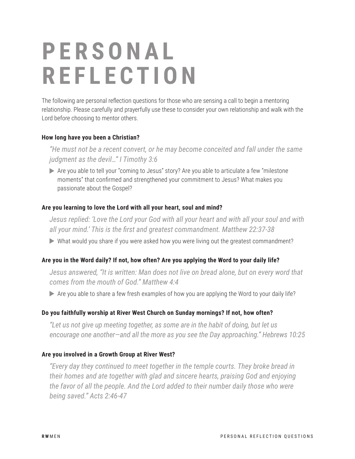# **P E R S O N A L REFLECTION**

The following are personal reflection questions for those who are sensing a call to begin a mentoring relationship. Please carefully and prayerfully use these to consider your own relationship and walk with the Lord before choosing to mentor others.

## **How long have you been a Christian?**

*"He must not be a recent convert, or he may become conceited and fall under the same judgment as the devil…" I Timothy 3:6*

Are you able to tell your "coming to Jesus" story? Are you able to articulate a few "milestone moments" that confirmed and strengthened your commitment to Jesus? What makes you passionate about the Gospel?

## **Are you learning to love the Lord with all your heart, soul and mind?**

*Jesus replied: 'Love the Lord your God with all your heart and with all your soul and with all your mind.' This is the first and greatest commandment. Matthew 22:37-38*

What would you share if you were asked how you were living out the greatest commandment?

## **Are you in the Word daily? If not, how often? Are you applying the Word to your daily life?**

*Jesus answered, "It is written: Man does not live on bread alone, but on every word that comes from the mouth of God." Matthew 4:4*

Are you able to share a few fresh examples of how you are applying the Word to your daily life?

#### **Do you faithfully worship at River West Church on Sunday mornings? If not, how often?**

*"Let us not give up meeting together, as some are in the habit of doing, but let us encourage one another—and all the more as you see the Day approaching." Hebrews 10:25*

#### **Are you involved in a Growth Group at River West?**

*"Every day they continued to meet together in the temple courts. They broke bread in their homes and ate together with glad and sincere hearts, praising God and enjoying the favor of all the people. And the Lord added to their number daily those who were being saved." Acts 2:46-47*